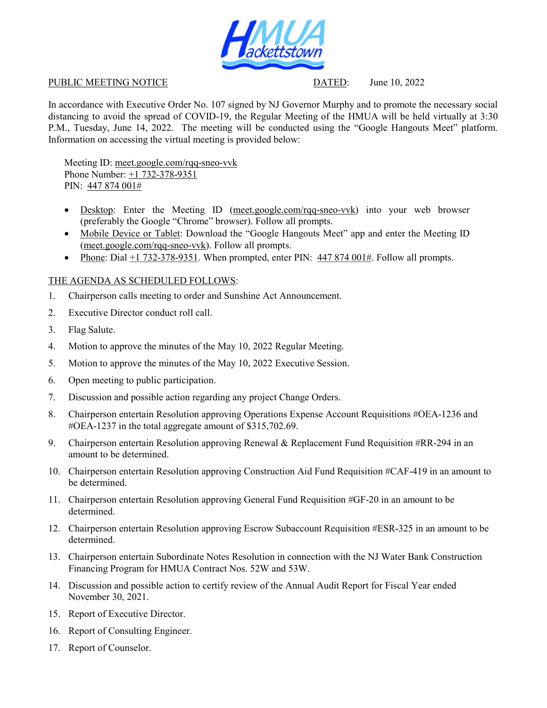

## PUBLIC MEETING NOTICE DATED: June 10, 2022

In accordance with Executive Order No. 107 signed by NJ Governor Murphy and to promote the necessary social distancing to avoid the spread of COVID-19, the Regular Meeting of the HMUA will be held virtually at 3:30 P.M., Tuesday, June 14, 2022. The meeting will be conducted using the "Google Hangouts Meet" platform. Information on accessing the virtual meeting is provided below:

Meeting ID: meet.google.com/rqq-sneo-vvk Phone Number: +1 732-378-9351 PIN: 447 874 001#

- Desktop: Enter the Meeting ID (meet.google.com/rqq-sneo-vvk) into your web browser (preferably the Google "Chrome" browser). Follow all prompts.
- Mobile Device or Tablet: Download the "Google Hangouts Meet" app and enter the Meeting ID (meet.google.com/rqq-sneo-vvk). Follow all prompts.
- Phone: Dial +1 732-378-9351. When prompted, enter PIN:  $447874001\text{\text#}$ . Follow all prompts.

## THE AGENDA AS SCHEDULED FOLLOWS:

- 1. Chairperson calls meeting to order and Sunshine Act Announcement.
- 2. Executive Director conduct roll call.
- 3. Flag Salute.
- 4. Motion to approve the minutes of the May 10, 2022 Regular Meeting.
- 5. Motion to approve the minutes of the May 10, 2022 Executive Session.
- 6. Open meeting to public participation.
- 7. Discussion and possible action regarding any project Change Orders.
- 8. Chairperson entertain Resolution approving Operations Expense Account Requisitions #OEA-1236 and #OEA-1237 in the total aggregate amount of \$315,702.69.
- 9. Chairperson entertain Resolution approving Renewal & Replacement Fund Requisition #RR-294 in an amount to be determined.
- 10. Chairperson entertain Resolution approving Construction Aid Fund Requisition #CAF-419 in an amount to be determined.
- 11. Chairperson entertain Resolution approving General Fund Requisition #GF-20 in an amount to be determined.
- 12. Chairperson entertain Resolution approving Escrow Subaccount Requisition #ESR-325 in an amount to be determined.
- 13. Chairperson entertain Subordinate Notes Resolution in connection with the NJ Water Bank Construction Financing Program for HMUA Contract Nos. 52W and 53W.
- 14. Discussion and possible action to certify review of the Annual Audit Report for Fiscal Year ended November 30, 2021.
- 15. Report of Executive Director.
- 16. Report of Consulting Engineer.
- 17. Report of Counselor.